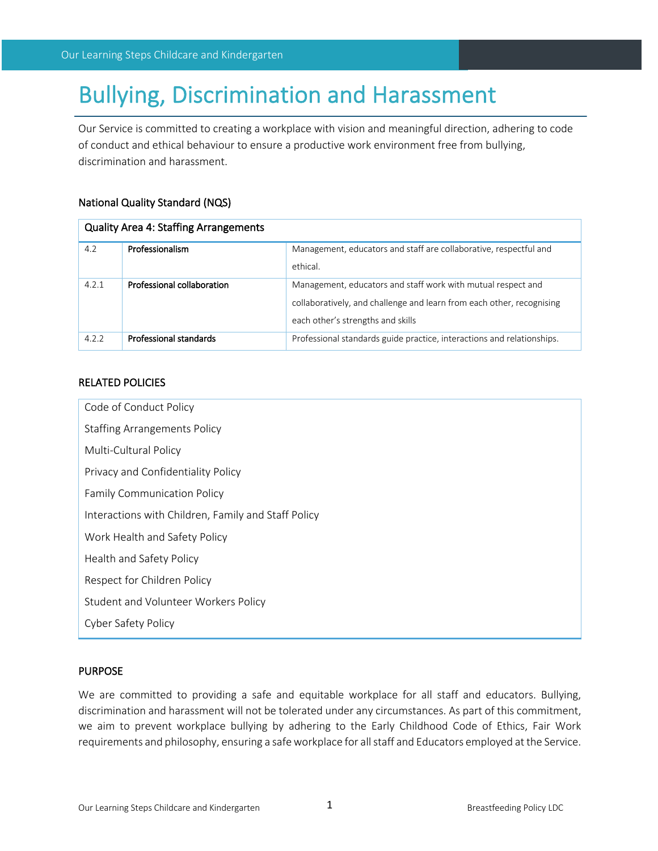# Bullying, Discrimination and Harassment

Our Service is committed to creating a workplace with vision and meaningful direction, adhering to code of conduct and ethical behaviour to ensure a productive work environment free from bullying, discrimination and harassment.

## National Quality Standard (NQS)

| <b>Quality Area 4: Staffing Arrangements</b> |                            |                                                                        |  |
|----------------------------------------------|----------------------------|------------------------------------------------------------------------|--|
| 4.2                                          | Professionalism            | Management, educators and staff are collaborative, respectful and      |  |
|                                              |                            | ethical.                                                               |  |
| 4.2.1                                        | Professional collaboration | Management, educators and staff work with mutual respect and           |  |
|                                              |                            | collaboratively, and challenge and learn from each other, recognising  |  |
|                                              |                            | each other's strengths and skills                                      |  |
| 4.2.2                                        | Professional standards     | Professional standards guide practice, interactions and relationships. |  |

## RELATED POLICIES

| Code of Conduct Policy                              |  |  |  |
|-----------------------------------------------------|--|--|--|
| <b>Staffing Arrangements Policy</b>                 |  |  |  |
| Multi-Cultural Policy                               |  |  |  |
| Privacy and Confidentiality Policy                  |  |  |  |
| <b>Family Communication Policy</b>                  |  |  |  |
| Interactions with Children, Family and Staff Policy |  |  |  |
| Work Health and Safety Policy                       |  |  |  |
| Health and Safety Policy                            |  |  |  |
| Respect for Children Policy                         |  |  |  |
| Student and Volunteer Workers Policy                |  |  |  |
| <b>Cyber Safety Policy</b>                          |  |  |  |
|                                                     |  |  |  |

#### PURPOSE

We are committed to providing a safe and equitable workplace for all staff and educators. Bullying, discrimination and harassment will not be tolerated under any circumstances. As part of this commitment, we aim to prevent workplace bullying by adhering to the Early Childhood Code of Ethics, Fair Work requirements and philosophy, ensuring a safe workplace for all staff and Educators employed at the Service.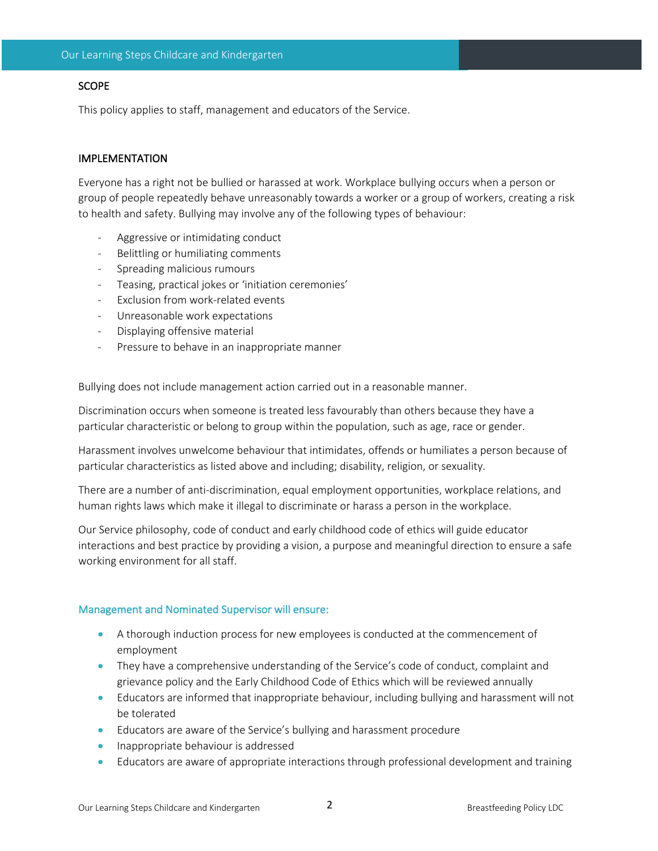## **SCOPE**

This policy applies to staff, management and educators of the Service.

## IMPLEMENTATION

Everyone has a right not be bullied or harassed at work. Workplace bullying occurs when a person or group of people repeatedly behave unreasonably towards a worker or a group of workers, creating a risk to health and safety. Bullying may involve any of the following types of behaviour:

- Aggressive or intimidating conduct
- Belittling or humiliating comments
- Spreading malicious rumours
- Teasing, practical jokes or 'initiation ceremonies'
- Exclusion from work-related events
- Unreasonable work expectations
- Displaying offensive material
- Pressure to behave in an inappropriate manner

Bullying does not include management action carried out in a reasonable manner.

Discrimination occurs when someone is treated less favourably than others because they have a particular characteristic or belong to group within the population, such as age, race or gender.

Harassment involves unwelcome behaviour that intimidates, offends or humiliates a person because of particular characteristics as listed above and including; disability, religion, or sexuality.

There are a number of anti-discrimination, equal employment opportunities, workplace relations, and human rights laws which make it illegal to discriminate or harass a person in the workplace.

Our Service philosophy, code of conduct and early childhood code of ethics will guide educator interactions and best practice by providing a vision, a purpose and meaningful direction to ensure a safe working environment for all staff.

#### Management and Nominated Supervisor will ensure:

- A thorough induction process for new employees is conducted at the commencement of employment
- They have a comprehensive understanding of the Service's code of conduct, complaint and grievance policy and the Early Childhood Code of Ethics which will be reviewed annually
- Educators are informed that inappropriate behaviour, including bullying and harassment will not be tolerated
- Educators are aware of the Service's bullying and harassment procedure
- Inappropriate behaviour is addressed
- Educators are aware of appropriate interactions through professional development and training